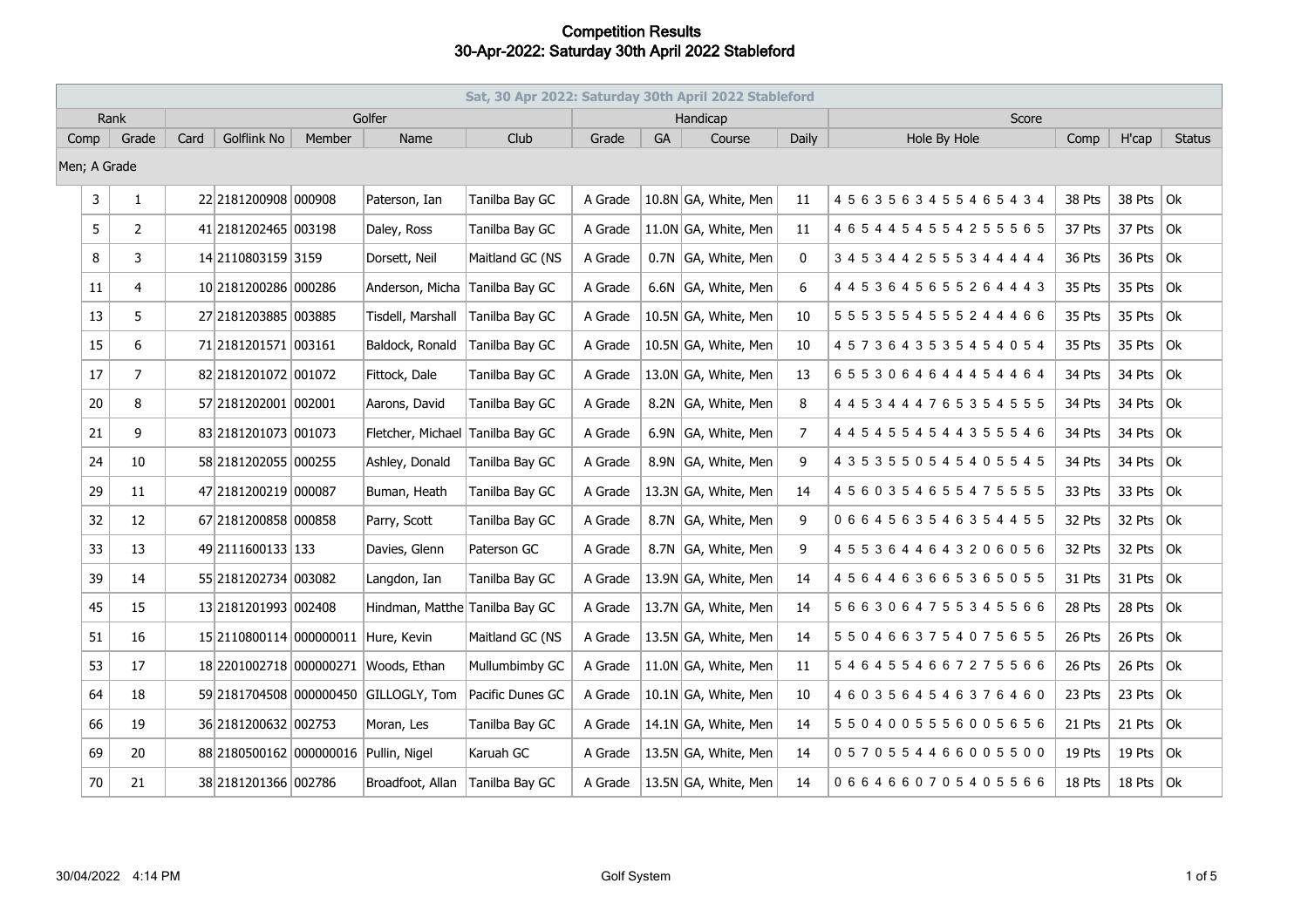|                | Sat, 30 Apr 2022: Saturday 30th April 2022 Stableford |      |                                       |               |                                       |                  |         |           |                      |                |                                 |        |                   |               |
|----------------|-------------------------------------------------------|------|---------------------------------------|---------------|---------------------------------------|------------------|---------|-----------|----------------------|----------------|---------------------------------|--------|-------------------|---------------|
| Golfer<br>Rank |                                                       |      |                                       |               |                                       |                  |         | Handicap  |                      | Score          |                                 |        |                   |               |
| Comp           | Grade                                                 | Card | <b>Golflink No</b>                    | <b>Member</b> | Name                                  | Club             | Grade   | <b>GA</b> | Course               | Daily          | Hole By Hole                    | Comp   | H'cap             | <b>Status</b> |
| Men; A Grade   |                                                       |      |                                       |               |                                       |                  |         |           |                      |                |                                 |        |                   |               |
| 3              | $\mathbf{1}$                                          |      | 22 2181200908 000908                  |               | Paterson, Ian                         | Tanilba Bay GC   | A Grade |           | 10.8N GA, White, Men | 11             | 4 5 6 3 5 6 3 4 5 5 4 6 5 4 3 4 | 38 Pts | 38 Pts $ 0k $     |               |
| 5              | $\overline{2}$                                        |      | 41 2181202465 003198                  |               | Daley, Ross                           | Tanilba Bay GC   | A Grade |           | 11.0N GA, White, Men | 11             | 4 6 5 4 4 5 4 5 5 4 2 5 5 5 6 5 | 37 Pts | 37 Pts $ Ok $     |               |
| 8              | 3                                                     |      | 14 2110803159 3159                    |               | Dorsett, Neil                         | Maitland GC (NS  | A Grade |           | 0.7N GA, White, Men  | $\mathbf{0}$   | 3 4 5 3 4 4 2 5 5 5 3 4 4 4 4 4 | 36 Pts | 36 Pts $ $ Ok     |               |
| 11             | 4                                                     |      | 10 2181200286 000286                  |               | Anderson, Micha                       | Tanilba Bay GC   | A Grade |           | 6.6N GA, White, Men  | 6              | 4 4 5 3 6 4 5 6 5 5 2 6 4 4 4 3 | 35 Pts | 35 Pts $ Ok $     |               |
| 13             | 5                                                     |      | 27 2181203885 003885                  |               | Tisdell, Marshall                     | Tanilba Bay GC   | A Grade |           | 10.5N GA, White, Men | 10             | 5 5 5 3 5 5 4 5 5 5 2 4 4 4 6 6 | 35 Pts | 35 Pts $\vert$ Ok |               |
| 15             | 6                                                     |      | 71 2181201571 003161                  |               | Baldock, Ronald                       | Tanilba Bay GC   | A Grade |           | 10.5N GA, White, Men | 10             | 4 5 7 3 6 4 3 5 3 5 4 5 4 0 5 4 | 35 Pts | 35 Pts $ $ Ok     |               |
| 17             | $\overline{7}$                                        |      | 82 2181201072 001072                  |               | Fittock, Dale                         | Tanilba Bay GC   | A Grade |           | 13.0N GA, White, Men | 13             | 6553064644454464                | 34 Pts | 34 Pts $\vert$ Ok |               |
| 20             | 8                                                     |      | 57 2181202001 002001                  |               | Aarons, David                         | Tanilba Bay GC   | A Grade |           | 8.2N GA, White, Men  | 8              | 4 4 5 3 4 4 4 7 6 5 3 5 4 5 5 5 | 34 Pts | 34 Pts            | $ $ Ok        |
| 21             | 9                                                     |      | 83 2181201073 001073                  |               | Fletcher, Michael                     | Tanilba Bay GC   | A Grade |           | 6.9N GA, White, Men  | $\overline{7}$ | 4 4 5 4 5 5 4 5 4 4 3 5 5 5 4 6 | 34 Pts | 34 Pts            | $ $ Ok        |
| 24             | 10                                                    |      | 58 2181202055 000255                  |               | Ashley, Donald                        | Tanilba Bay GC   | A Grade |           | 8.9N GA, White, Men  | 9              | 4 3 5 3 5 5 0 5 4 5 4 0 5 5 4 5 | 34 Pts | 34 Pts            | $ $ Ok        |
| 29             | 11                                                    |      | 47 2181200219 000087                  |               | Buman, Heath                          | Tanilba Bay GC   | A Grade |           | 13.3N GA, White, Men | 14             | 4560354655475555                | 33 Pts | 33 Pts            | $ $ Ok        |
| 32             | 12                                                    |      | 67 2181200858 000858                  |               | Parry, Scott                          | Tanilba Bay GC   | A Grade |           | 8.7N GA, White, Men  | 9              | 0664563546354455                | 32 Pts | 32 Pts            | Ok            |
| 33             | 13                                                    |      | 49 2111600133 133                     |               | Davies, Glenn                         | Paterson GC      | A Grade |           | 8.7N GA, White, Men  | 9              | 4553644643206056                | 32 Pts | 32 Pts $ Ok $     |               |
| 39             | 14                                                    |      | 55 2181202734 003082                  |               | Langdon, Ian                          | Tanilba Bay GC   | A Grade |           | 13.9N GA, White, Men | 14             | 4564463665365055                | 31 Pts | 31 Pts            | Ok            |
| 45             | 15                                                    |      | 13 2181201993 002408                  |               | Hindman, Matthe Tanilba Bay GC        |                  | A Grade |           | 13.7N GA, White, Men | 14             | 5663064755345566                | 28 Pts | 28 Pts            | $ $ Ok        |
| 51             | 16                                                    |      | 15 2110800114 000000011 Hure, Kevin   |               |                                       | Maitland GC (NS  | A Grade |           | 13.5N GA, White, Men | 14             | 5 5 0 4 6 6 3 7 5 4 0 7 5 6 5 5 | 26 Pts | 26 Pts $ $ Ok     |               |
| 53             | 17                                                    |      |                                       |               | 18 2201002718 000000271 Woods, Ethan  | Mullumbimby GC   | A Grade |           | 11.0N GA, White, Men | 11             | 5464554667275566                | 26 Pts | 26 Pts $ Ok $     |               |
| 64             | 18                                                    |      |                                       |               | 59 2181704508 000000450 GILLOGLY, Tom | Pacific Dunes GC | A Grade |           | 10.1N GA, White, Men | 10             | 4603564546376460                | 23 Pts | 23 Pts $ $ Ok     |               |
| 66             | 19                                                    |      | 36 2181200632 002753                  |               | Moran, Les                            | Tanilba Bay GC   | A Grade |           | 14.1N GA, White, Men | 14             | 5504005556005656                | 21 Pts | 21 Pts $ 0k$      |               |
| 69             | 20                                                    |      | 88 2180500162 000000016 Pullin, Nigel |               |                                       | Karuah GC        | A Grade |           | 13.5N GA, White, Men | 14             | 0570554466005500                | 19 Pts | 19 Pts $ Ok $     |               |
| 70             | 21                                                    |      | 38 2181201366 002786                  |               | Broadfoot, Allan                      | Tanilba Bay GC   | A Grade |           | 13.5N GA, White, Men | 14             | 0664660705405566                | 18 Pts | 18 Pts $ 0k$      |               |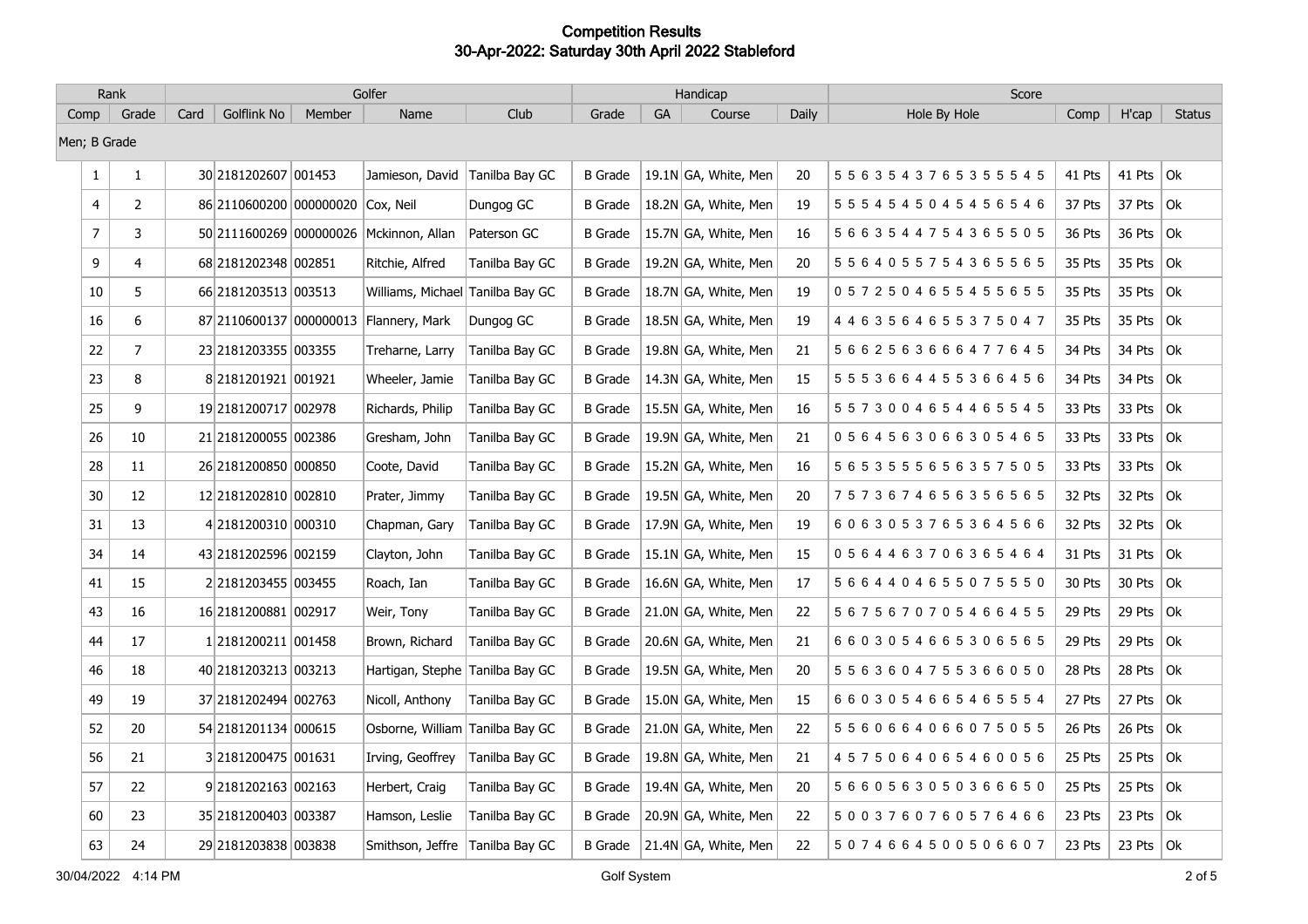| Rank           |                | Golfer |                                   |        |                                         |                |                |           | Handicap             |       | Score                           |        |                   |               |
|----------------|----------------|--------|-----------------------------------|--------|-----------------------------------------|----------------|----------------|-----------|----------------------|-------|---------------------------------|--------|-------------------|---------------|
| Comp           | Grade          | Card   | Golflink No                       | Member | Name                                    | Club           | Grade          | <b>GA</b> | Course               | Daily | Hole By Hole                    | Comp   | H'cap             | <b>Status</b> |
| Men; B Grade   |                |        |                                   |        |                                         |                |                |           |                      |       |                                 |        |                   |               |
| $\mathbf{1}$   | $\mathbf{1}$   |        | 30 2181202607 001453              |        | Jamieson, David                         | Tanilba Bay GC | <b>B</b> Grade |           | 19.1N GA, White, Men | 20    | 5 5 6 3 5 4 3 7 6 5 3 5 5 5 4 5 | 41 Pts | 41 Pts $ 0k $     |               |
| $\overline{4}$ | $\overline{2}$ |        | 86 2110600200 000000020 Cox, Neil |        |                                         | Dungog GC      | <b>B</b> Grade |           | 18.2N GA, White, Men | 19    | 5 5 5 4 5 4 5 0 4 5 4 5 6 5 4 6 | 37 Pts | 37 Pts $ Ok $     |               |
| $\overline{7}$ | 3              |        |                                   |        | 50 2111600269 000000026 Mckinnon, Allan | Paterson GC    | <b>B</b> Grade |           | 15.7N GA, White, Men | 16    | 5 6 6 3 5 4 4 7 5 4 3 6 5 5 0 5 | 36 Pts | 36 Pts $\vert$ Ok |               |
| 9              | 4              |        | 68 2181202348 002851              |        | Ritchie, Alfred                         | Tanilba Bay GC | <b>B</b> Grade |           | 19.2N GA, White, Men | 20    | 5 5 6 4 0 5 5 7 5 4 3 6 5 5 6 5 | 35 Pts | 35 Pts $ $ Ok     |               |
| 10             | 5              |        | 66 2181203513 003513              |        | Williams, Michael Tanilba Bay GC        |                | B Grade        |           | 18.7N GA, White, Men | 19    | 0572504655455655                | 35 Pts | 35 Pts $ $ Ok     |               |
| 16             | 6              |        |                                   |        | 87 2110600137 000000013 Flannery, Mark  | Dungog GC      | <b>B</b> Grade |           | 18.5N GA, White, Men | 19    | 4 4 6 3 5 6 4 6 5 5 3 7 5 0 4 7 | 35 Pts | 35 Pts $ Ok $     |               |
| 22             | $\overline{7}$ |        | 23 2181203355 003355              |        | Treharne, Larry                         | Tanilba Bay GC | <b>B</b> Grade |           | 19.8N GA, White, Men | 21    | 5 6 6 2 5 6 3 6 6 6 4 7 7 6 4 5 | 34 Pts | 34 Pts $\vert$ Ok |               |
| 23             | 8              |        | 8 2181201921 001921               |        | Wheeler, Jamie                          | Tanilba Bay GC | <b>B</b> Grade |           | 14.3N GA, White, Men | 15    | 5 5 5 3 6 6 4 4 5 5 3 6 6 4 5 6 | 34 Pts | 34 Pts $\vert$ Ok |               |
| 25             | 9              |        | 19 2181200717 002978              |        | Richards, Philip                        | Tanilba Bay GC | <b>B</b> Grade |           | 15.5N GA, White, Men | 16    | 5 5 7 3 0 0 4 6 5 4 4 6 5 5 4 5 | 33 Pts | 33 Pts $ Ok $     |               |
| 26             | 10             |        | 21 2181200055 002386              |        | Gresham, John                           | Tanilba Bay GC | <b>B</b> Grade |           | 19.9N GA, White, Men | 21    | 0564563066305465                | 33 Pts | 33 Pts $ Ok $     |               |
| 28             | 11             |        | 26 2181200850 000850              |        | Coote, David                            | Tanilba Bay GC | <b>B</b> Grade |           | 15.2N GA, White, Men | 16    | 5 6 5 3 5 5 5 6 5 6 3 5 7 5 0 5 | 33 Pts | 33 Pts $ $ Ok     |               |
| 30             | 12             |        | 12 2181202810 002810              |        | Prater, Jimmy                           | Tanilba Bay GC | <b>B</b> Grade |           | 19.5N GA, White, Men | 20    | 7573674656356565                | 32 Pts | 32 Pts $ $ Ok     |               |
| 31             | 13             |        | 4 2181200310 000310               |        | Chapman, Gary                           | Tanilba Bay GC | <b>B</b> Grade |           | 17.9N GA, White, Men | 19    | 6063053765364566                | 32 Pts | 32 Pts $ $ Ok     |               |
| 34             | 14             |        | 43 2181202596 002159              |        | Clayton, John                           | Tanilba Bay GC | B Grade        |           | 15.1N GA, White, Men | 15    | 0564463706365464                | 31 Pts | 31 Pts $ 0k $     |               |
| 41             | 15             |        | 2 2181203455 003455               |        | Roach, Ian                              | Tanilba Bay GC | <b>B</b> Grade |           | 16.6N GA, White, Men | 17    | 5 6 6 4 4 0 4 6 5 5 0 7 5 5 5 0 | 30 Pts | 30 Pts $ Ok $     |               |
| 43             | 16             |        | 16 2181200881 002917              |        | Weir, Tony                              | Tanilba Bay GC | <b>B</b> Grade |           | 21.0N GA, White, Men | 22    | 5 6 7 5 6 7 0 7 0 5 4 6 6 4 5 5 | 29 Pts | 29 Pts $ Ok $     |               |
| 44             | 17             |        | 1 2181200211 001458               |        | Brown, Richard                          | Tanilba Bay GC | B Grade        |           | 20.6N GA, White, Men | 21    | 6603054665306565                | 29 Pts | 29 Pts $ Ok $     |               |
| 46             | 18             |        | 40 2181203213 003213              |        | Hartigan, Stephe Tanilba Bay GC         |                | <b>B</b> Grade |           | 19.5N GA, White, Men | 20    | 5 5 6 3 6 0 4 7 5 5 3 6 6 0 5 0 | 28 Pts | 28 Pts $ Ok$      |               |
| 49             | 19             |        | 37 2181202494 002763              |        | Nicoll, Anthony                         | Tanilba Bay GC | <b>B</b> Grade |           | 15.0N GA, White, Men | 15    | 6 6 0 3 0 5 4 6 6 5 4 6 5 5 5 4 | 27 Pts | 27 Pts $ Ok$      |               |
| 52             | 20             |        | 54 2181201134 000615              |        | Osborne, William Tanilba Bay GC         |                | <b>B</b> Grade |           | 21.0N GA, White, Men | 22    | 5 5 6 0 6 6 4 0 6 6 0 7 5 0 5 5 | 26 Pts | 26 Pts $\vert$ Ok |               |
| 56             | 21             |        | 3 2181200475 001631               |        | Irving, Geoffrey                        | Tanilba Bay GC | <b>B</b> Grade |           | 19.8N GA, White, Men | 21    | 4575064065460056                | 25 Pts | 25 Pts $ Ok $     |               |
| 57             | 22             |        | 9 2181202163 002163               |        | Herbert, Craig                          | Tanilba Bay GC | <b>B</b> Grade |           | 19.4N GA, White, Men | 20    | 5 6 6 0 5 6 3 0 5 0 3 6 6 6 5 0 | 25 Pts | 25 Pts $ $ Ok     |               |
| 60             | 23             |        | 35 2181200403 003387              |        | Hamson, Leslie                          | Tanilba Bay GC | <b>B</b> Grade |           | 20.9N GA, White, Men | 22    | 5003760760576466                | 23 Pts | 23 Pts $ Ok $     |               |
| 63             | 24             |        | 29 2181203838 003838              |        | Smithson, Jeffre                        | Tanilba Bay GC | B Grade        |           | 21.4N GA, White, Men | 22    | 5074664500506607                | 23 Pts | 23 Pts $ Ok $     |               |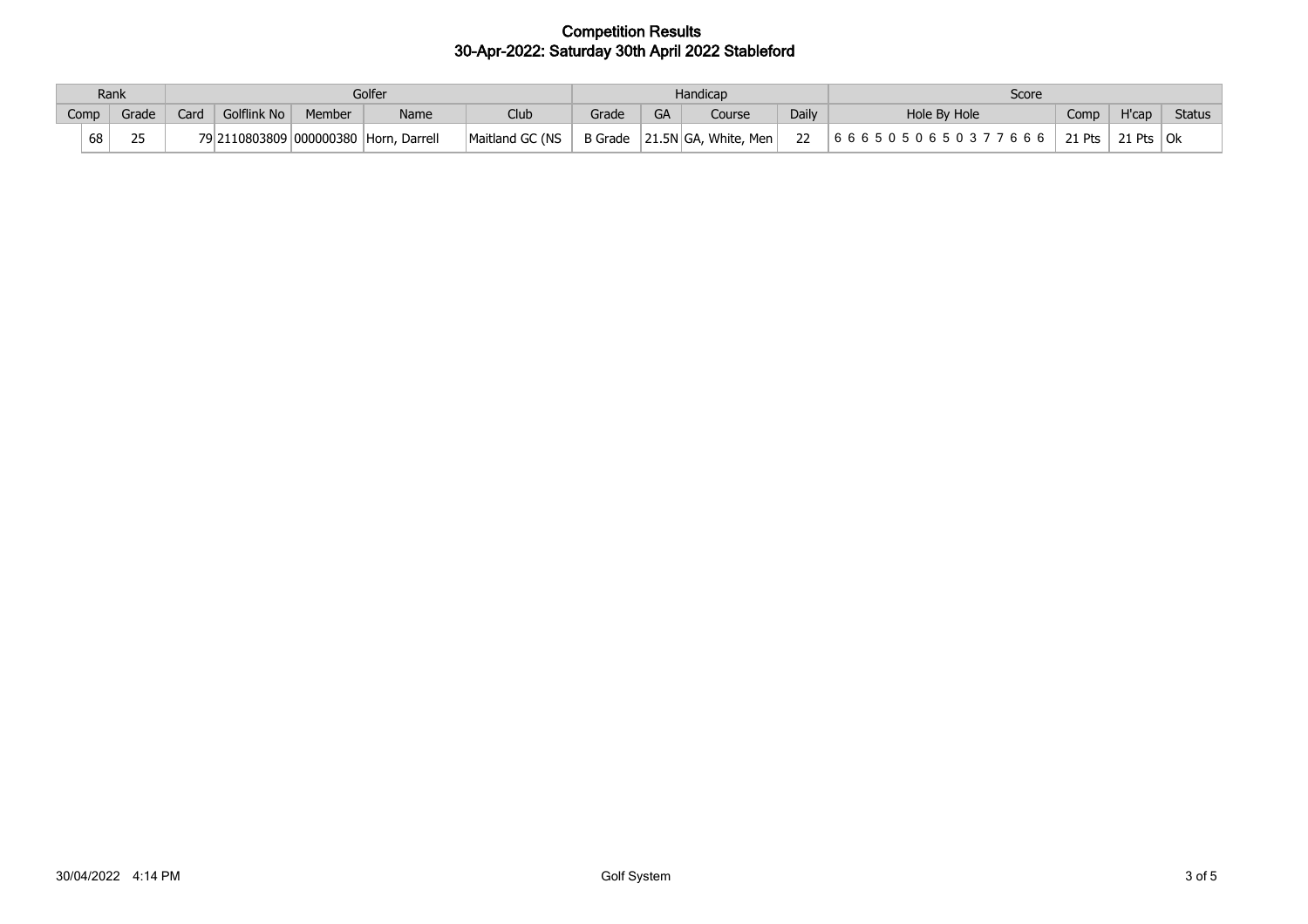|      | Rank  |      | Golfer      |        |                                    |                 |         |           | Handicap             |              | Score                                    |        |        |        |
|------|-------|------|-------------|--------|------------------------------------|-----------------|---------|-----------|----------------------|--------------|------------------------------------------|--------|--------|--------|
| Comp | Grade | Card | Golflink No | Member | Name                               | <b>Club</b>     | Grade   | <b>GA</b> | Course               | <b>Daily</b> | Hole By Hole                             | Comp   | H'cap  | Status |
| 68   | つに    | ו ∩ל |             |        | 2110803809 000000380 Horn, Darrell | Maitland GC (NS | B Grade |           | 21.5N GA, White, Men | າາ           | 666<br>666505<br>- ፍ- ሰ- <b>マ</b><br>-06 | 21 Pts | 21 Pts | Ok     |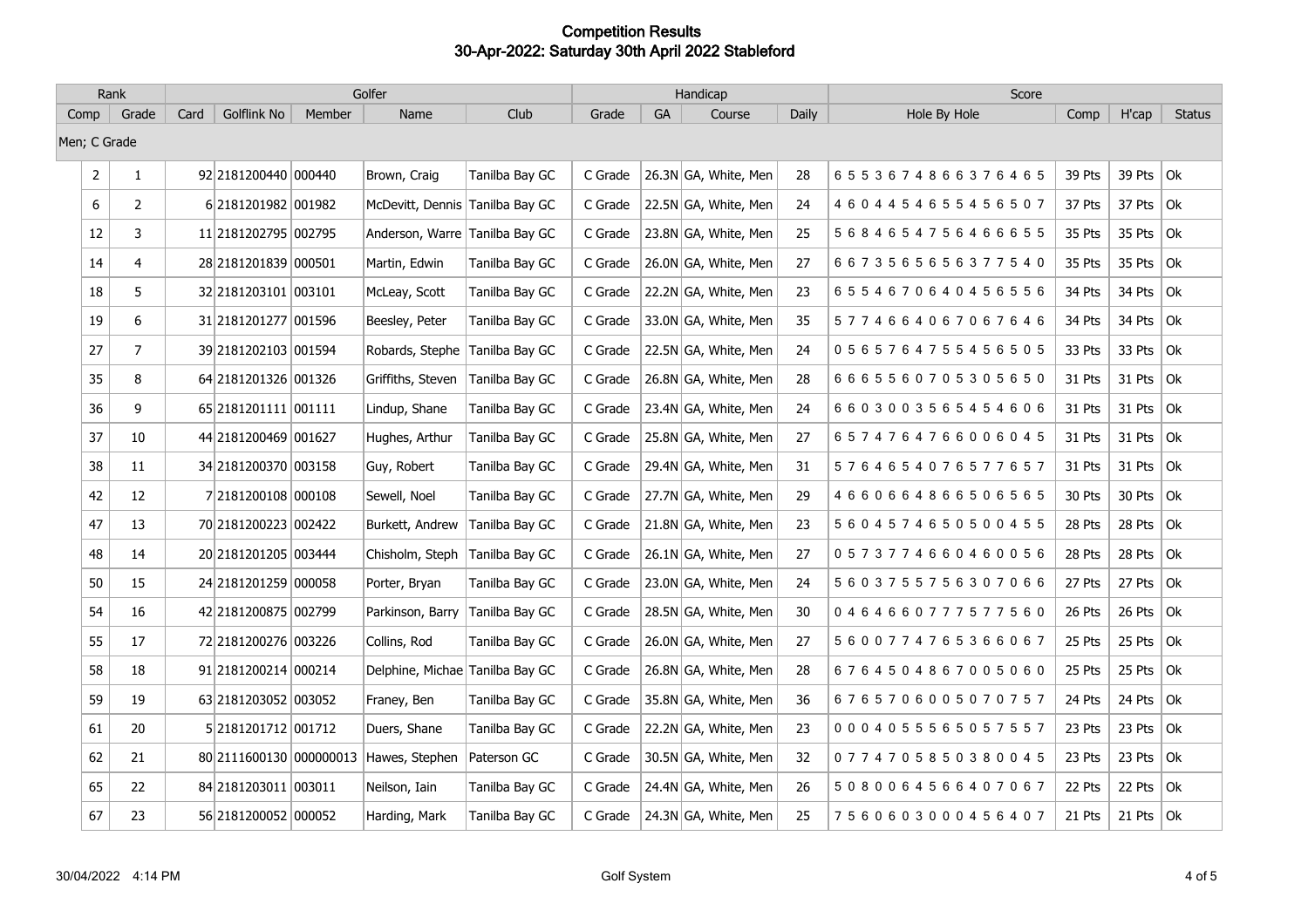| Rank           |                | Golfer |                         |        |                                 |                |         |           | Handicap             |       | Score                           |        |                   |               |
|----------------|----------------|--------|-------------------------|--------|---------------------------------|----------------|---------|-----------|----------------------|-------|---------------------------------|--------|-------------------|---------------|
| Comp           | Grade          | Card   | Golflink No             | Member | Name                            | Club           | Grade   | <b>GA</b> | Course               | Daily | Hole By Hole                    | Comp   | H'cap             | <b>Status</b> |
|                | Men; C Grade   |        |                         |        |                                 |                |         |           |                      |       |                                 |        |                   |               |
| $\overline{2}$ | $\mathbf{1}$   |        | 92 2181200440 000440    |        | Brown, Craig                    | Tanilba Bay GC | C Grade |           | 26.3N GA, White, Men | 28    | 6553674866376465                | 39 Pts | 39 Pts $ Ok $     |               |
| 6              | $\overline{2}$ |        | 6 2181201982 001982     |        | McDevitt, Dennis Tanilba Bay GC |                | C Grade |           | 22.5N GA, White, Men | 24    | 4604454655456507                | 37 Pts | 37 Pts $ Ok $     |               |
| 12             | 3              |        | 11 2181202795 002795    |        | Anderson, Warre Tanilba Bay GC  |                | C Grade |           | 23.8N GA, White, Men | 25    | 5684654756466655                | 35 Pts | 35 Pts $ $ Ok     |               |
| 14             | 4              |        | 28 2181201839 000501    |        | Martin, Edwin                   | Tanilba Bay GC | C Grade |           | 26.0N GA, White, Men | 27    | 6673565656377540                | 35 Pts | 35 Pts $ $ Ok     |               |
| 18             | 5              |        | 32 2181203101 003101    |        | McLeay, Scott                   | Tanilba Bay GC | C Grade |           | 22.2N GA, White, Men | 23    | 6554670640456556                | 34 Pts | 34 Pts $\vert$ Ok |               |
| 19             | 6              |        | 31 2181201277 001596    |        | Beesley, Peter                  | Tanilba Bay GC | C Grade |           | 33.0N GA, White, Men | 35    | 5774664067067646                | 34 Pts | 34 Pts            | $ $ Ok        |
| 27             | $\overline{7}$ |        | 39 2181202103 001594    |        | Robards, Stephe                 | Tanilba Bay GC | C Grade |           | 22.5N GA, White, Men | 24    | 0565764755456505                | 33 Pts | 33 Pts $ $ Ok     |               |
| 35             | 8              |        | 64 2181201326 001326    |        | Griffiths, Steven               | Tanilba Bay GC | C Grade |           | 26.8N GA, White, Men | 28    | 6 6 6 5 5 6 0 7 0 5 3 0 5 6 5 0 | 31 Pts | 31 Pts $\vert$ Ok |               |
| 36             | 9              |        | 65 2181201111 001111    |        | Lindup, Shane                   | Tanilba Bay GC | C Grade |           | 23.4N GA, White, Men | 24    | 6603003565454606                | 31 Pts | 31 Pts $ 0k $     |               |
| 37             | 10             |        | 44 2181200469 001627    |        | Hughes, Arthur                  | Tanilba Bay GC | C Grade |           | 25.8N GA, White, Men | 27    | 6574764766006045                | 31 Pts | 31 Pts            | $ $ Ok        |
| 38             | 11             |        | 34 2181200370 003158    |        | Guy, Robert                     | Tanilba Bay GC | C Grade |           | 29.4N GA, White, Men | 31    | 5764654076577657                | 31 Pts | 31 Pts            | Ok            |
| 42             | 12             |        | 7 2181200108 000108     |        | Sewell, Noel                    | Tanilba Bay GC | C Grade |           | 27.7N GA, White, Men | 29    | 4660664866506565                | 30 Pts | 30 Pts $\vert$ Ok |               |
| 47             | 13             |        | 70 2181200223 002422    |        | Burkett, Andrew                 | Tanilba Bay GC | C Grade |           | 21.8N GA, White, Men | 23    | 5 6 0 4 5 7 4 6 5 0 5 0 0 4 5 5 | 28 Pts | 28 Pts $ $ Ok     |               |
| 48             | 14             |        | 20 2181201205 003444    |        | Chisholm, Steph                 | Tanilba Bay GC | C Grade |           | 26.1N GA, White, Men | 27    | 0573774660460056                | 28 Pts | 28 Pts $ Ok $     |               |
| 50             | 15             |        | 24 2181201259 000058    |        | Porter, Bryan                   | Tanilba Bay GC | C Grade |           | 23.0N GA, White, Men | 24    | 5 6 0 3 7 5 5 7 5 6 3 0 7 0 6 6 | 27 Pts | 27 Pts $ Ok $     |               |
| 54             | 16             |        | 42 2181200875 002799    |        | Parkinson, Barry                | Tanilba Bay GC | C Grade |           | 28.5N GA, White, Men | 30    | 0464660777577560                | 26 Pts | 26 Pts $\vert$ Ok |               |
| 55             | 17             |        | 72 2181200276 003226    |        | Collins, Rod                    | Tanilba Bay GC | C Grade |           | 26.0N GA, White, Men | 27    | 5 6 0 0 7 7 4 7 6 5 3 6 6 0 6 7 | 25 Pts | 25 Pts $ Ok $     |               |
| 58             | 18             |        | 91 2181200214 000214    |        | Delphine, Michae Tanilba Bay GC |                | C Grade |           | 26.8N GA, White, Men | 28    | 6764504867005060                | 25 Pts | 25 Pts $ $ Ok     |               |
| 59             | 19             |        | 63 2181203052 003052    |        | Franey, Ben                     | Tanilba Bay GC | C Grade |           | 35.8N GA, White, Men | 36    | 6765706005070757                | 24 Pts | 24 Pts            | $ $ Ok        |
| 61             | 20             |        | 5 2181201712 001712     |        | Duers, Shane                    | Tanilba Bay GC | C Grade |           | 22.2N GA, White, Men | 23    | 0004055565057557                | 23 Pts | 23 Pts $ $ Ok     |               |
| 62             | 21             |        | 80 2111600130 000000013 |        | Hawes, Stephen                  | Paterson GC    | C Grade |           | 30.5N GA, White, Men | 32    | 0774705850380045                | 23 Pts | 23 Pts            | $ $ Ok        |
| 65             | 22             |        | 84 2181203011 003011    |        | Neilson, Iain                   | Tanilba Bay GC | C Grade |           | 24.4N GA, White, Men | 26    | 5080064566407067                | 22 Pts | 22 Pts            | Ok            |
| 67             | 23             |        | 56 2181200052 000052    |        | Harding, Mark                   | Tanilba Bay GC | C Grade |           | 24.3N GA, White, Men | 25    | 7560603000456407                | 21 Pts | 21 Pts $ 0k$      |               |